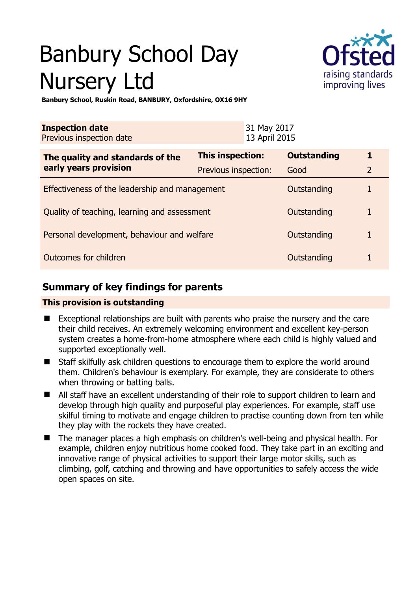# Banbury School Day Nursery Ltd



**Banbury School, Ruskin Road, BANBURY, Oxfordshire, OX16 9HY** 

| <b>Inspection date</b><br>Previous inspection date        |                      | 31 May 2017<br>13 April 2015 |                    |                |
|-----------------------------------------------------------|----------------------|------------------------------|--------------------|----------------|
| The quality and standards of the<br>early years provision | This inspection:     |                              | <b>Outstanding</b> |                |
|                                                           | Previous inspection: |                              | Good               | $\overline{2}$ |
| Effectiveness of the leadership and management            |                      |                              | Outstanding        |                |
| Quality of teaching, learning and assessment              |                      |                              | Outstanding        |                |
| Personal development, behaviour and welfare               |                      |                              | Outstanding        |                |
| Outcomes for children                                     |                      |                              | Outstanding        |                |

# **Summary of key findings for parents**

## **This provision is outstanding**

- Exceptional relationships are built with parents who praise the nursery and the care their child receives. An extremely welcoming environment and excellent key-person system creates a home-from-home atmosphere where each child is highly valued and supported exceptionally well.
- Staff skilfully ask children questions to encourage them to explore the world around them. Children's behaviour is exemplary. For example, they are considerate to others when throwing or batting balls.
- All staff have an excellent understanding of their role to support children to learn and develop through high quality and purposeful play experiences. For example, staff use skilful timing to motivate and engage children to practise counting down from ten while they play with the rockets they have created.
- The manager places a high emphasis on children's well-being and physical health. For example, children enjoy nutritious home cooked food. They take part in an exciting and innovative range of physical activities to support their large motor skills, such as climbing, golf, catching and throwing and have opportunities to safely access the wide open spaces on site.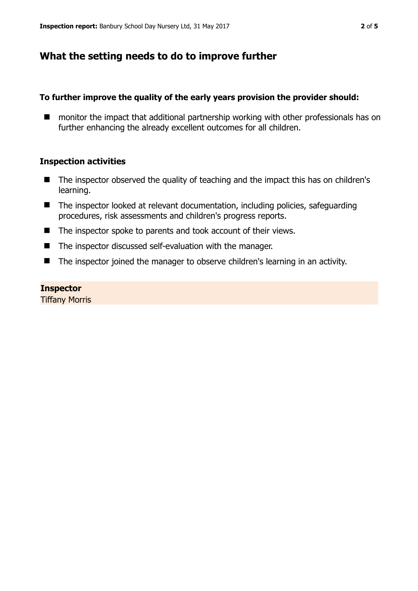## **What the setting needs to do to improve further**

## **To further improve the quality of the early years provision the provider should:**

■ monitor the impact that additional partnership working with other professionals has on further enhancing the already excellent outcomes for all children.

## **Inspection activities**

- The inspector observed the quality of teaching and the impact this has on children's learning.
- The inspector looked at relevant documentation, including policies, safeguarding procedures, risk assessments and children's progress reports.
- The inspector spoke to parents and took account of their views.
- The inspector discussed self-evaluation with the manager.
- The inspector joined the manager to observe children's learning in an activity.

### **Inspector**

Tiffany Morris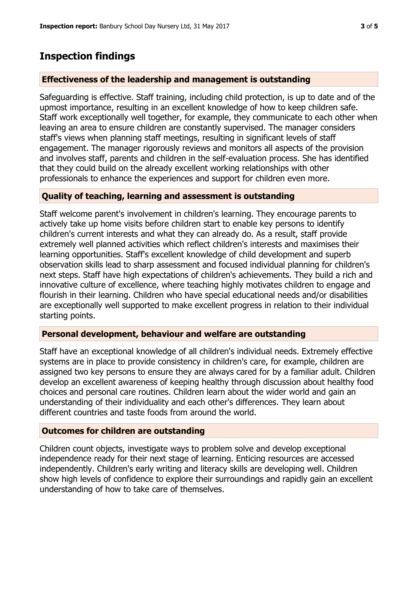## **Inspection findings**

#### **Effectiveness of the leadership and management is outstanding**

Safeguarding is effective. Staff training, including child protection, is up to date and of the upmost importance, resulting in an excellent knowledge of how to keep children safe. Staff work exceptionally well together, for example, they communicate to each other when leaving an area to ensure children are constantly supervised. The manager considers staff's views when planning staff meetings, resulting in significant levels of staff engagement. The manager rigorously reviews and monitors all aspects of the provision and involves staff, parents and children in the self-evaluation process. She has identified that they could build on the already excellent working relationships with other professionals to enhance the experiences and support for children even more.

#### **Quality of teaching, learning and assessment is outstanding**

Staff welcome parent's involvement in children's learning. They encourage parents to actively take up home visits before children start to enable key persons to identify children's current interests and what they can already do. As a result, staff provide extremely well planned activities which reflect children's interests and maximises their learning opportunities. Staff's excellent knowledge of child development and superb observation skills lead to sharp assessment and focused individual planning for children's next steps. Staff have high expectations of children's achievements. They build a rich and innovative culture of excellence, where teaching highly motivates children to engage and flourish in their learning. Children who have special educational needs and/or disabilities are exceptionally well supported to make excellent progress in relation to their individual starting points.

### **Personal development, behaviour and welfare are outstanding**

Staff have an exceptional knowledge of all children's individual needs. Extremely effective systems are in place to provide consistency in children's care, for example, children are assigned two key persons to ensure they are always cared for by a familiar adult. Children develop an excellent awareness of keeping healthy through discussion about healthy food choices and personal care routines. Children learn about the wider world and gain an understanding of their individuality and each other's differences. They learn about different countries and taste foods from around the world.

### **Outcomes for children are outstanding**

Children count objects, investigate ways to problem solve and develop exceptional independence ready for their next stage of learning. Enticing resources are accessed independently. Children's early writing and literacy skills are developing well. Children show high levels of confidence to explore their surroundings and rapidly gain an excellent understanding of how to take care of themselves.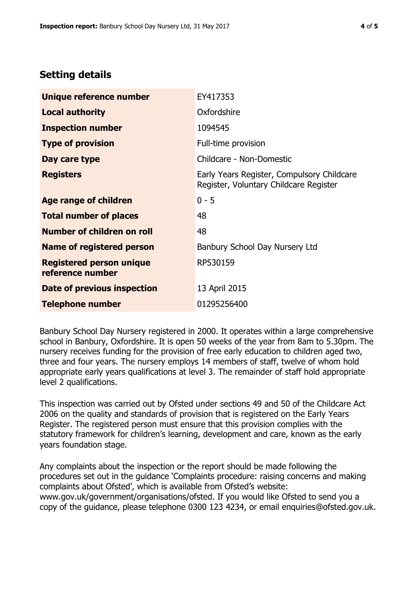# **Setting details**

| Unique reference number                             | EY417353                                                                             |  |
|-----------------------------------------------------|--------------------------------------------------------------------------------------|--|
| <b>Local authority</b>                              | Oxfordshire                                                                          |  |
| <b>Inspection number</b>                            | 1094545                                                                              |  |
| <b>Type of provision</b>                            | Full-time provision                                                                  |  |
| Day care type                                       | Childcare - Non-Domestic                                                             |  |
| <b>Registers</b>                                    | Early Years Register, Compulsory Childcare<br>Register, Voluntary Childcare Register |  |
| Age range of children                               | $0 - 5$                                                                              |  |
| <b>Total number of places</b>                       | 48                                                                                   |  |
| Number of children on roll                          | 48                                                                                   |  |
| Name of registered person                           | Banbury School Day Nursery Ltd                                                       |  |
| <b>Registered person unique</b><br>reference number | RP530159                                                                             |  |
| Date of previous inspection                         | 13 April 2015                                                                        |  |
| <b>Telephone number</b>                             | 01295256400                                                                          |  |

Banbury School Day Nursery registered in 2000. It operates within a large comprehensive school in Banbury, Oxfordshire. It is open 50 weeks of the year from 8am to 5.30pm. The nursery receives funding for the provision of free early education to children aged two, three and four years. The nursery employs 14 members of staff, twelve of whom hold appropriate early years qualifications at level 3. The remainder of staff hold appropriate level 2 qualifications.

This inspection was carried out by Ofsted under sections 49 and 50 of the Childcare Act 2006 on the quality and standards of provision that is registered on the Early Years Register. The registered person must ensure that this provision complies with the statutory framework for children's learning, development and care, known as the early years foundation stage.

Any complaints about the inspection or the report should be made following the procedures set out in the guidance 'Complaints procedure: raising concerns and making complaints about Ofsted', which is available from Ofsted's website: www.gov.uk/government/organisations/ofsted. If you would like Ofsted to send you a copy of the guidance, please telephone 0300 123 4234, or email enquiries@ofsted.gov.uk.